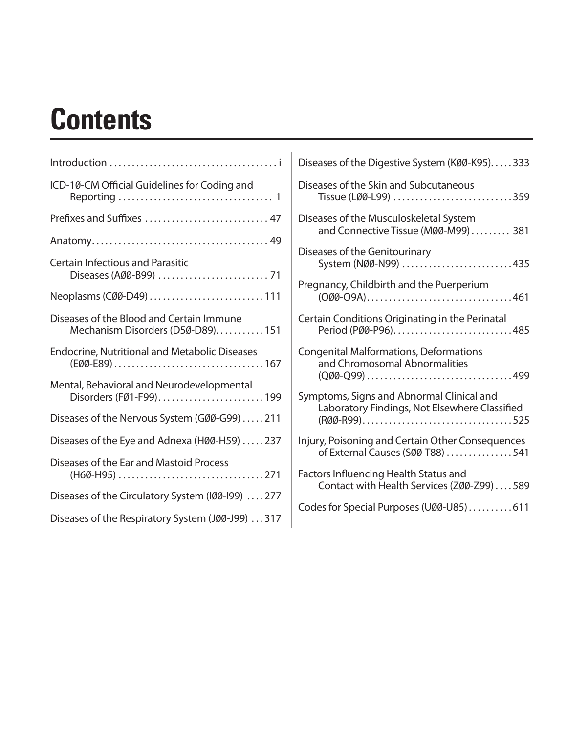# **Contents**

| ICD-10-CM Official Guidelines for Coding and                                 |
|------------------------------------------------------------------------------|
| Prefixes and Suffixes  47                                                    |
|                                                                              |
| <b>Certain Infectious and Parasitic</b>                                      |
| Neoplasms (CØØ-D49) 111                                                      |
| Diseases of the Blood and Certain Immune<br>Mechanism Disorders (D50-D89)151 |
| <b>Endocrine, Nutritional and Metabolic Diseases</b>                         |
| Mental, Behavioral and Neurodevelopmental<br>Disorders (FØ1-F99)199          |
| Diseases of the Nervous System (GØØ-G99) 211                                 |
| Diseases of the Eye and Adnexa (HØØ-H59) 237                                 |
| Diseases of the Ear and Mastoid Process                                      |
| Diseases of the Circulatory System (IØØ-I99) 277                             |
| Diseases of the Respiratory System (JØØ-J99) 317                             |

| Diseases of the Digestive System (KØØ-K95)333                                              |
|--------------------------------------------------------------------------------------------|
| Diseases of the Skin and Subcutaneous<br>Tissue (LØØ-L99) 359                              |
| Diseases of the Musculoskeletal System<br>and Connective Tissue (MØØ-M99) 381              |
| Diseases of the Genitourinary<br>System (NØØ-N99) 435                                      |
| Pregnancy, Childbirth and the Puerperium                                                   |
| Certain Conditions Originating in the Perinatal<br>Period (PØØ-P96)485                     |
| <b>Congenital Malformations, Deformations</b><br>and Chromosomal Abnormalities             |
| Symptoms, Signs and Abnormal Clinical and<br>Laboratory Findings, Not Elsewhere Classified |
| Injury, Poisoning and Certain Other Consequences<br>of External Causes (SØØ-T88) 541       |
| <b>Factors Influencing Health Status and</b><br>Contact with Health Services (ZØØ-Z99)589  |
| Codes for Special Purposes (UØØ-U85)611                                                    |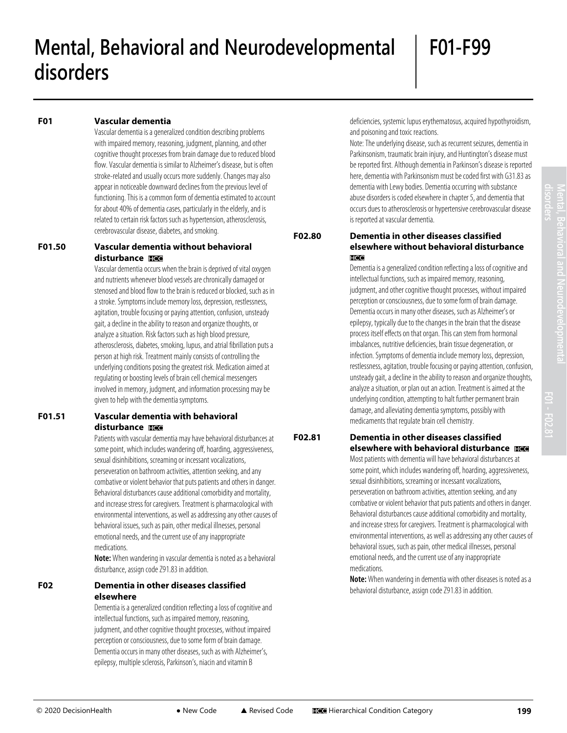**F01 Vascular dementia**

Vascular dementia is a generalized condition describing problems with impaired memory, reasoning, judgment, planning, and other cognitive thought processes from brain damage due to reduced blood flow. Vascular dementia is similar to Alzheimer's disease, but is often stroke-related and usually occurs more suddenly. Changes may also appear in noticeable downward declines from the previous level of functioning. This is a common form of dementia estimated to account for about 40% of dementia cases, particularly in the elderly, and is related to certain risk factors such as hypertension, atherosclerosis, cerebrovascular disease, diabetes, and smoking.

#### **F01.50 Vascular dementia without behavioral disturbance**

Vascular dementia occurs when the brain is deprived of vital oxygen and nutrients whenever blood vessels are chronically damaged or stenosed and blood flow to the brain is reduced or blocked, such as in a stroke. Symptoms include memory loss, depression, restlessness, agitation, trouble focusing or paying attention, confusion, unsteady gait, a decline in the ability to reason and organize thoughts, or analyze a situation. Risk factors such as high blood pressure, atherosclerosis, diabetes, smoking, lupus, and atrial fibrillation puts a person at high risk. Treatment mainly consists of controlling the underlying conditions posing the greatest risk. Medication aimed at regulating or boosting levels of brain cell chemical messengers involved in memory, judgment, and information processing may be given to help with the dementia symptoms.

#### **F01.51 Vascular dementia with behavioral disturbance**

Patients with vascular dementia may have behavioral disturbances at some point, which includes wandering off, hoarding, aggressiveness, sexual disinhibitions, screaming or incessant vocalizations, perseveration on bathroom activities, attention seeking, and any combative or violent behavior that puts patients and others in danger. Behavioral disturbances cause additional comorbidity and mortality, and increase stress for caregivers. Treatment is pharmacological with environmental interventions, as well as addressing any other causes of behavioral issues, such as pain, other medical illnesses, personal emotional needs, and the current use of any inappropriate medications.

**Note:** When wandering in vascular dementia is noted as a behavioral disturbance, assign code Z91.83 in addition.

**F02 Dementia in other diseases classified elsewhere**

Dementia is a generalized condition reflecting a loss of cognitive and intellectual functions, such as impaired memory, reasoning, judgment, and other cognitive thought processes, without impaired perception or consciousness, due to some form of brain damage. Dementia occurs in many other diseases, such as with Alzheimer's, epilepsy, multiple sclerosis, Parkinson's, niacin and vitamin B

deficiencies, systemic lupus erythematosus, acquired hypothyroidism, and poisoning and toxic reactions.

Note: The underlying disease, such as recurrent seizures, dementia in Parkinsonism, traumatic brain injury, and Huntington's disease must be reported first. Although dementia in Parkinson's disease is reported here, dementia with Parkinsonism must be coded first with G31.83 as dementia with Lewy bodies. Dementia occurring with substance abuse disorders is coded elsewhere in chapter 5, and dementia that occurs dues to atherosclerosis or hypertensive cerebrovascular disease is reported at vascular dementia.

#### **F02.80 Dementia in other diseases classified elsewhere without behavioral disturbance HCC**

Dementia is a generalized condition reflecting a loss of cognitive and intellectual functions, such as impaired memory, reasoning, judgment, and other cognitive thought processes, without impaired perception or consciousness, due to some form of brain damage. Dementia occurs in many other diseases, such as Alzheimer's or epilepsy, typically due to the changes in the brain that the disease process itself effects on that organ. This can stem from hormonal imbalances, nutritive deficiencies, brain tissue degeneration, or infection. Symptoms of dementia include memory loss, depression, restlessness, agitation, trouble focusing or paying attention, confusion, unsteady gait, a decline in the ability to reason and organize thoughts, analyze a situation, or plan out an action. Treatment is aimed at the underlying condition, attempting to halt further permanent brain damage, and alleviating dementia symptoms, possibly with medicaments that regulate brain cell chemistry.

#### **F02.81 Dementia in other diseases classified elsewhere with behavioral disturbance**

Most patients with dementia will have behavioral disturbances at some point, which includes wandering off, hoarding, aggressiveness, sexual disinhibitions, screaming or incessant vocalizations, perseveration on bathroom activities, attention seeking, and any combative or violent behavior that puts patients and others in danger. Behavioral disturbances cause additional comorbidity and mortality, and increase stress for caregivers. Treatment is pharmacological with environmental interventions, as well as addressing any other causes of behavioral issues, such as pain, other medical illnesses, personal emotional needs, and the current use of any inappropriate medications.

**Note:** When wandering in dementia with other diseases is noted as a behavioral disturbance, assign code Z91.83 in addition.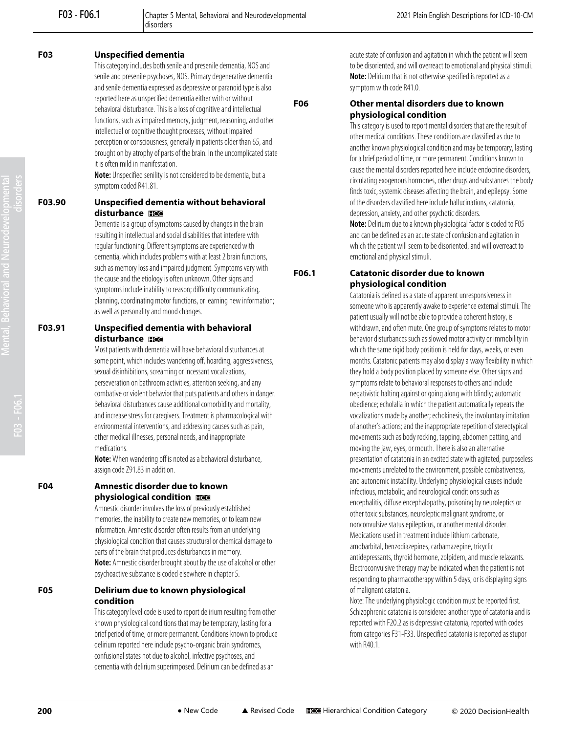**F03 Unspecified dementia**

This category includes both senile and presenile dementia, NOS and senile and presenile psychoses, NOS. Primary degenerative dementia and senile dementia expressed as depressive or paranoid type is also reported here as unspecified dementia either with or without behavioral disturbance. This is a loss of cognitive and intellectual functions, such as impaired memory, judgment, reasoning, and other intellectual or cognitive thought processes, without impaired perception or consciousness, generally in patients older than 65, and brought on by atrophy of parts of the brain. In the uncomplicated state it is often mild in manifestation.

**Note:** Unspecified senility is not considered to be dementia, but a symptom coded R41.81.

#### **F03.90 Unspecified dementia without behavioral disturbance**

Dementia is a group of symptoms caused by changes in the brain resulting in intellectual and social disabilities that interfere with regular functioning. Different symptoms are experienced with dementia, which includes problems with at least 2 brain functions, such as memory loss and impaired judgment. Symptoms vary with the cause and the etiology is often unknown. Other signs and symptoms include inability to reason; difficulty communicating, planning, coordinating motor functions, or learning new information; as well as personality and mood changes.

#### **F03.91 Unspecified dementia with behavioral disturbance**

Most patients with dementia will have behavioral disturbances at some point, which includes wandering off, hoarding, aggressiveness, sexual disinhibitions, screaming or incessant vocalizations, perseveration on bathroom activities, attention seeking, and any combative or violent behavior that puts patients and others in danger. Behavioral disturbances cause additional comorbidity and mortality, and increase stress for caregivers. Treatment is pharmacological with environmental interventions, and addressing causes such as pain, other medical illnesses, personal needs, and inappropriate medications.

**Note:** When wandering off is noted as a behavioral disturbance, assign code Z91.83 in addition.

#### **F04 Amnestic disorder due to known physiological condition**

Amnestic disorder involves the loss of previously established memories, the inability to create new memories, or to learn new information. Amnestic disorder often results from an underlying physiological condition that causes structural or chemical damage to parts of the brain that produces disturbances in memory. **Note:** Amnestic disorder brought about by the use of alcohol or other psychoactive substance is coded elsewhere in chapter 5.

#### **F05 Delirium due to known physiological condition**

This category level code is used to report delirium resulting from other known physiological conditions that may be temporary, lasting for a brief period of time, or more permanent. Conditions known to produce delirium reported here include psycho-organic brain syndromes, confusional states not due to alcohol, infective psychoses, and dementia with delirium superimposed. Delirium can be defined as an

acute state of confusion and agitation in which the patient will seem to be disoriented, and will overreact to emotional and physical stimuli. **Note:** Delirium that is not otherwise specified is reported as a symptom with code R41.0.

#### **F06 Other mental disorders due to known physiological condition**

This category is used to report mental disorders that are the result of other medical conditions. These conditions are classified as due to another known physiological condition and may be temporary, lasting for a brief period of time, or more permanent. Conditions known to cause the mental disorders reported here include endocrine disorders, circulating exogenous hormones, other drugs and substances the body finds toxic, systemic diseases affecting the brain, and epilepsy. Some of the disorders classified here include hallucinations, catatonia, depression, anxiety, and other psychotic disorders.

**Note:** Delirium due to a known physiological factor is coded to F05 and can be defined as an acute state of confusion and agitation in which the patient will seem to be disoriented, and will overreact to emotional and physical stimuli.

#### **F06.1 Catatonic disorder due to known physiological condition**

Catatonia is defined as a state of apparent unresponsiveness in someone who is apparently awake to experience external stimuli. The patient usually will not be able to provide a coherent history, is withdrawn, and often mute. One group of symptoms relates to motor behavior disturbances such as slowed motor activity or immobility in which the same rigid body position is held for days, weeks, or even months. Catatonic patients may also display a waxy flexibility in which they hold a body position placed by someone else. Other signs and symptoms relate to behavioral responses to others and include negativistic halting against or going along with blindly; automatic obedience; echolalia in which the patient automatically repeats the vocalizations made by another; echokinesis, the involuntary imitation of another's actions; and the inappropriate repetition of stereotypical movements such as body rocking, tapping, abdomen patting, and moving the jaw, eyes, or mouth. There is also an alternative presentation of catatonia in an excited state with agitated, purposeless movements unrelated to the environment, possible combativeness, and autonomic instability. Underlying physiological causes include infectious, metabolic, and neurological conditions such as encephalitis, diffuse encephalopathy, poisoning by neuroleptics or other toxic substances, neuroleptic malignant syndrome, or nonconvulsive status epilepticus, or another mental disorder. Medications used in treatment include lithium carbonate, amobarbital, benzodiazepines, carbamazepine, tricyclic antidepressants, thyroid hormone, zolpidem, and muscle relaxants. Electroconvulsive therapy may be indicated when the patient is not responding to pharmacotherapy within 5 days, or is displaying signs of malignant catatonia.

Note: The underlying physiologic condition must be reported first. Schizophrenic catatonia is considered another type of catatonia and is reported with F20.2 as is depressive catatonia, reported with codes from categories F31-F33. Unspecified catatonia is reported as stupor with R40.1.

**disorders**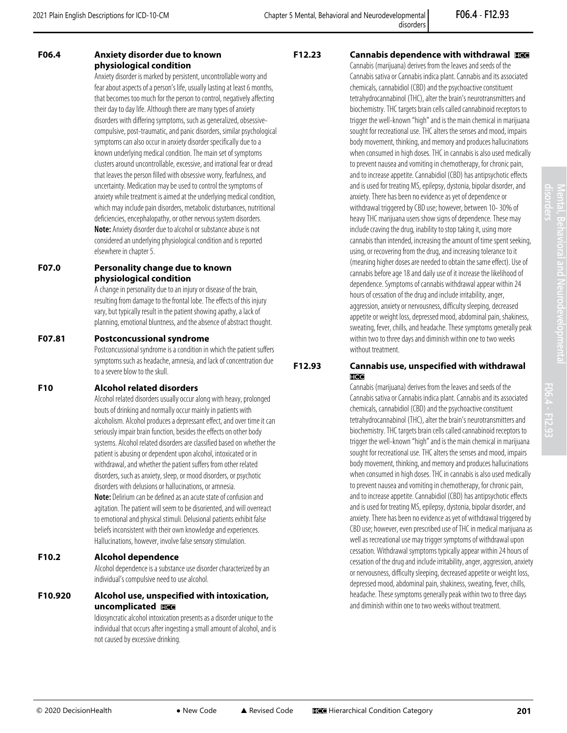#### **F06.4 Anxiety disorder due to known physiological condition**

Anxiety disorder is marked by persistent, uncontrollable worry and fear about aspects of a person's life, usually lasting at least 6 months, that becomes too much for the person to control, negatively affecting their day to day life. Although there are many types of anxiety disorders with differing symptoms, such as generalized, obsessivecompulsive, post-traumatic, and panic disorders, similar psychological symptoms can also occur in anxiety disorder specifically due to a known underlying medical condition. The main set of symptoms clusters around uncontrollable, excessive, and irrational fear or dread that leaves the person filled with obsessive worry, fearfulness, and uncertainty. Medication may be used to control the symptoms of anxiety while treatment is aimed at the underlying medical condition, which may include pain disorders, metabolic disturbances, nutritional deficiencies, encephalopathy, or other nervous system disorders. **Note:** Anxiety disorder due to alcohol or substance abuse is not considered an underlying physiological condition and is reported elsewhere in chapter 5.

#### **F07.0 Personality change due to known physiological condition**

A change in personality due to an injury or disease of the brain, resulting from damage to the frontal lobe. The effects of this injury vary, but typically result in the patient showing apathy, a lack of planning, emotional bluntness, and the absence of abstract thought.

#### **F07.81 Postconcussional syndrome**

Postconcussional syndrome is a condition in which the patient suffers symptoms such as headache, amnesia, and lack of concentration due to a severe blow to the skull.

#### **F10 Alcohol related disorders**

Alcohol related disorders usually occur along with heavy, prolonged bouts of drinking and normally occur mainly in patients with alcoholism. Alcohol produces a depressant effect, and over time it can seriously impair brain function, besides the effects on other body systems. Alcohol related disorders are classified based on whether the patient is abusing or dependent upon alcohol, intoxicated or in withdrawal, and whether the patient suffers from other related disorders, such as anxiety, sleep, or mood disorders, or psychotic disorders with delusions or hallucinations, or amnesia. **Note:** Delirium can be defined as an acute state of confusion and agitation. The patient will seem to be disoriented, and will overreact to emotional and physical stimuli. Delusional patients exhibit false beliefs inconsistent with their own knowledge and experiences. Hallucinations, however, involve false sensory stimulation.

#### **F10.2 Alcohol dependence**

Alcohol dependence is a substance use disorder characterized by an individual's compulsive need to use alcohol.

**F10.920 Alcohol use, unspecified with intoxication, uncomplicated**

Idiosyncratic alcohol intoxication presents as a disorder unique to the individual that occurs after ingesting a small amount of alcohol, and is not caused by excessive drinking.

#### **F12.23 Cannabis dependence with withdrawal**

Cannabis (marijuana) derives from the leaves and seeds of the Cannabis sativa or Cannabis indica plant. Cannabis and its associated chemicals, cannabidiol (CBD) and the psychoactive constituent tetrahydrocannabinol (THC), alter the brain's neurotransmitters and biochemistry. THC targets brain cells called cannabinoid receptors to trigger the well-known "high" and is the main chemical in marijuana sought for recreational use. THC alters the senses and mood, impairs body movement, thinking, and memory and produces hallucinations when consumed in high doses. THC in cannabis is also used medically to prevent nausea and vomiting in chemotherapy, for chronic pain, and to increase appetite. Cannabidiol (CBD) has antipsychotic effects and is used for treating MS, epilepsy, dystonia, bipolar disorder, and anxiety. There has been no evidence as yet of dependence or withdrawal triggered by CBD use; however, between 10- 30% of heavy THC marijuana users show signs of dependence. These may include craving the drug, inability to stop taking it, using more cannabis than intended, increasing the amount of time spent seeking, using, or recovering from the drug, and increasing tolerance to it (meaning higher doses are needed to obtain the same effect). Use of cannabis before age 18 and daily use of it increase the likelihood of dependence. Symptoms of cannabis withdrawal appear within 24 hours of cessation of the drug and include irritability, anger, aggression, anxiety or nervousness, difficulty sleeping, decreased appetite or weight loss, depressed mood, abdominal pain, shakiness, sweating, fever, chills, and headache. These symptoms generally peak within two to three days and diminish within one to two weeks without treatment.

#### **F12.93 Cannabis use, unspecified with withdrawal Here**

Cannabis (marijuana) derives from the leaves and seeds of the Cannabis sativa or Cannabis indica plant. Cannabis and its associated chemicals, cannabidiol (CBD) and the psychoactive constituent tetrahydrocannabinol (THC), alter the brain's neurotransmitters and biochemistry. THC targets brain cells called cannabinoid receptors to trigger the well-known "high" and is the main chemical in marijuana sought for recreational use. THC alters the senses and mood, impairs body movement, thinking, and memory and produces hallucinations when consumed in high doses. THC in cannabis is also used medically to prevent nausea and vomiting in chemotherapy, for chronic pain, and to increase appetite. Cannabidiol (CBD) has antipsychotic effects and is used for treating MS, epilepsy, dystonia, bipolar disorder, and anxiety. There has been no evidence as yet of withdrawal triggered by CBD use; however, even prescribed use of THC in medical marijuana as well as recreational use may trigger symptoms of withdrawal upon cessation. Withdrawal symptoms typically appear within 24 hours of cessation of the drug and include irritability, anger, aggression, anxiety or nervousness, difficulty sleeping, decreased appetite or weight loss, depressed mood, abdominal pain, shakiness, sweating, fever, chills, headache. These symptoms generally peak within two to three days and diminish within one to two weeks without treatment.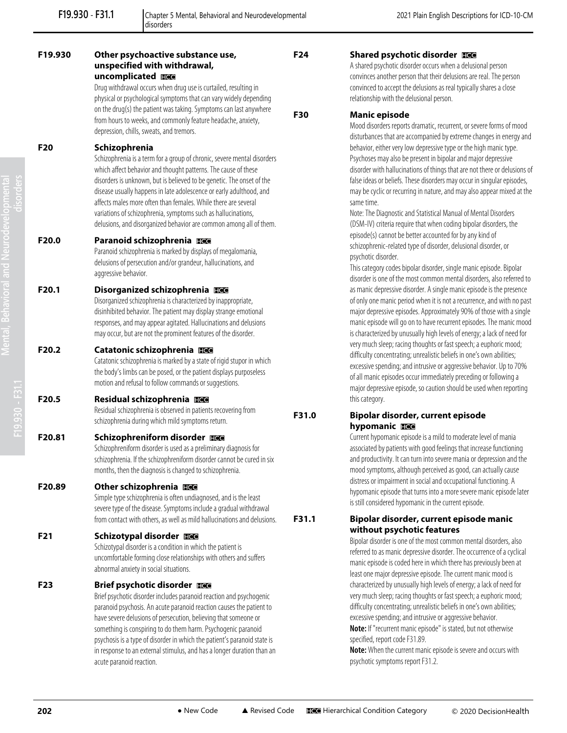#### **F19.930 Other psychoactive substance use, unspecified with withdrawal, uncomplicated**

Drug withdrawal occurs when drug use is curtailed, resulting in physical or psychological symptoms that can vary widely depending on the drug(s) the patient was taking. Symptoms can last anywhere from hours to weeks, and commonly feature headache, anxiety, depression, chills, sweats, and tremors.

#### **F20 Schizophrenia**

Schizophrenia is a term for a group of chronic, severe mental disorders which affect behavior and thought patterns. The cause of these disorders is unknown, but is believed to be genetic. The onset of the disease usually happens in late adolescence or early adulthood, and affects males more often than females. While there are several variations of schizophrenia, symptoms such as hallucinations, delusions, and disorganized behavior are common among all of them.

#### **F20.0 Paranoid schizophrenia**

Paranoid schizophrenia is marked by displays of megalomania, delusions of persecution and/or grandeur, hallucinations, and aggressive behavior.

#### **F20.1 Disorganized schizophrenia**

Disorganized schizophrenia is characterized by inappropriate, disinhibited behavior. The patient may display strange emotional responses, and may appear agitated. Hallucinations and delusions may occur, but are not the prominent features of the disorder.

#### **F20.2 Catatonic schizophrenia**

Catatonic schizophrenia is marked by a state of rigid stupor in which the body's limbs can be posed, or the patient displays purposeless motion and refusal to follow commands or suggestions.

#### **F20.5 Residual schizophrenia**

Residual schizophrenia is observed in patients recovering from schizophrenia during which mild symptoms return.

#### **F20.81 Schizophreniform disorder**

Schizophreniform disorder is used as a preliminary diagnosis for schizophrenia. If the schizophreniform disorder cannot be cured in six months, then the diagnosis is changed to schizophrenia.

#### **F20.89 Other schizophrenia**

Simple type schizophrenia is often undiagnosed, and is the least severe type of the disease. Symptoms include a gradual withdrawal from contact with others, as well as mild hallucinations and delusions.

#### **F21 Schizotypal disorder**

Schizotypal disorder is a condition in which the patient is uncomfortable forming close relationships with others and suffers abnormal anxiety in social situations.

#### **F23 Brief psychotic disorder**

Brief psychotic disorder includes paranoid reaction and psychogenic paranoid psychosis. An acute paranoid reaction causes the patient to have severe delusions of persecution, believing that someone or something is conspiring to do them harm. Psychogenic paranoid psychosis is a type of disorder in which the patient's paranoid state is in response to an external stimulus, and has a longer duration than an acute paranoid reaction.

#### **F24 Shared psychotic disorder**

A shared psychotic disorder occurs when a delusional person convinces another person that their delusions are real. The person convinced to accept the delusions as real typically shares a close relationship with the delusional person.

#### **F30 Manic episode**

Mood disorders reports dramatic, recurrent, or severe forms of mood disturbances that are accompanied by extreme changes in energy and behavior, either very low depressive type or the high manic type. Psychoses may also be present in bipolar and major depressive disorder with hallucinations of things that are not there or delusions of false ideas or beliefs. These disorders may occur in singular episodes, may be cyclic or recurring in nature, and may also appear mixed at the same time.

Note: The Diagnostic and Statistical Manual of Mental Disorders (DSM-IV) criteria require that when coding bipolar disorders, the episode(s) cannot be better accounted for by any kind of schizophrenic-related type of disorder, delusional disorder, or psychotic disorder.

This category codes bipolar disorder, single manic episode. Bipolar disorder is one of the most common mental disorders, also referred to as manic depressive disorder. A single manic episode is the presence of only one manic period when it is not a recurrence, and with no past major depressive episodes. Approximately 90% of those with a single manic episode will go on to have recurrent episodes. The manic mood is characterized by unusually high levels of energy; a lack of need for very much sleep; racing thoughts or fast speech; a euphoric mood; difficulty concentrating; unrealistic beliefs in one's own abilities; excessive spending; and intrusive or aggressive behavior. Up to 70% of all manic episodes occur immediately preceding or following a major depressive episode, so caution should be used when reporting this category.

#### **F31.0 Bipolar disorder, current episode hypomanic**

Current hypomanic episode is a mild to moderate level of mania associated by patients with good feelings that increase functioning and productivity. It can turn into severe mania or depression and the mood symptoms, although perceived as good, can actually cause distress or impairment in social and occupational functioning. A hypomanic episode that turns into a more severe manic episode later is still considered hypomanic in the current episode.

#### **F31.1 Bipolar disorder, current episode manic without psychotic features**

Bipolar disorder is one of the most common mental disorders, also referred to as manic depressive disorder. The occurrence of a cyclical manic episode is coded here in which there has previously been at least one major depressive episode. The current manic mood is characterized by unusually high levels of energy; a lack of need for very much sleep; racing thoughts or fast speech; a euphoric mood; difficulty concentrating; unrealistic beliefs in one's own abilities; excessive spending; and intrusive or aggressive behavior.

**Note:** If "recurrent manic episode" is stated, but not otherwise specified, report code F31.89.

**Note:** When the current manic episode is severe and occurs with psychotic symptoms report F31.2.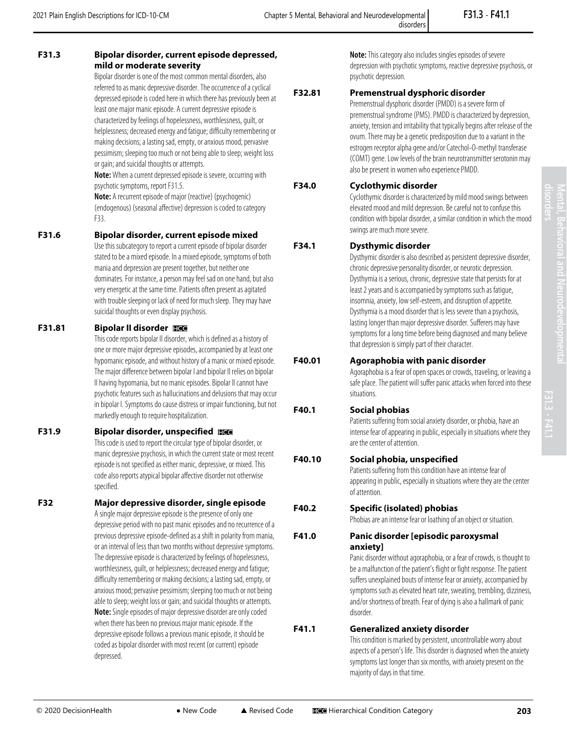#### **F31.3 Bipolar disorder, current episode depressed, mild or moderate severity**

Bipolar disorder is one of the most common mental disorders, also referred to as manic depressive disorder. The occurrence of a cyclical depressed episode is coded here in which there has previously been at least one major manic episode. A current depressive episode is characterized by feelings of hopelessness, worthlessness, guilt, or helplessness; decreased energy and fatigue; difficulty remembering or making decisions; a lasting sad, empty, or anxious mood; pervasive pessimism; sleeping too much or not being able to sleep; weight loss or gain; and suicidal thoughts or attempts.

**Note:** When a current depressed episode is severe, occurring with psychotic symptoms, report F31.5.

**Note:** A recurrent episode of major (reactive) (psychogenic) (endogenous) (seasonal affective) depression is coded to category F33.

**F31.6 Bipolar disorder, current episode mixed**

Use this subcategory to report a current episode of bipolar disorder stated to be a mixed episode. In a mixed episode, symptoms of both mania and depression are present together, but neither one dominates. For instance, a person may feel sad on one hand, but also very energetic at the same time. Patients often present as agitated with trouble sleeping or lack of need for much sleep. They may have suicidal thoughts or even display psychosis.

#### **F31.81 Bipolar II disorder**

This code reports bipolar II disorder, which is defined as a history of one or more major depressive episodes, accompanied by at least one hypomanic episode, and without history of a manic or mixed episode. The major difference between bipolar I and bipolar II relies on bipolar II having hypomania, but no manic episodes. Bipolar II cannot have psychotic features such as hallucinations and delusions that may occur in bipolar I. Symptoms do cause distress or impair functioning, but not markedly enough to require hospitalization.

#### **F31.9 Bipolar disorder, unspecified** This code is used to report the circular type of bipolar disorder, or manic depressive psychosis, in which the current state or most recent episode is not specified as either manic, depressive, or mixed. This code also reports atypical bipolar affective disorder not otherwise specified.

**F32 Major depressive disorder, single episode** A single major depressive episode is the presence of only one depressive period with no past manic episodes and no recurrence of a previous depressive episode-defined as a shift in polarity from mania, or an interval of less than two months without depressive symptoms. The depressive episode is characterized by feelings of hopelessness, worthlessness, guilt, or helplessness; decreased energy and fatigue; difficulty remembering or making decisions; a lasting sad, empty, or anxious mood; pervasive pessimism; sleeping too much or not being able to sleep; weight loss or gain; and suicidal thoughts or attempts. **Note:** Single episodes of major depressive disorder are only coded when there has been no previous major manic episode. If the depressive episode follows a previous manic episode, it should be coded as bipolar disorder with most recent (or current) episode depressed.

**Note:** This category also includes singles episodes of severe depression with psychotic symptoms, reactive depressive psychosis, or psychotic depression.

### **F32.81 Premenstrual dysphoric disorder**

Premenstrual dysphoric disorder (PMDD) is a severe form of premenstrual syndrome (PMS). PMDD is characterized by depression, anxiety, tension and irritability that typically begins after release of the ovum. There may be a genetic predisposition due to a variant in the estrogen receptor alpha gene and/or Catechol-O-methyl transferase (COMT) gene. Low levels of the brain neurotransmitter serotonin may also be present in women who experience PMDD.

### **F34.0 Cyclothymic disorder**

Cyclothymic disorder is characterized by mild mood swings between elevated mood and mild depression. Be careful not to confuse this condition with bipolar disorder, a similar condition in which the mood swings are much more severe.

#### **F34.1 Dysthymic disorder**

Dysthymic disorder is also described as persistent depressive disorder, chronic depressive personality disorder, or neurotic depression. Dysthymia is a serious, chronic, depressive state that persists for at least 2 years and is accompanied by symptoms such as fatigue, insomnia, anxiety, low self-esteem, and disruption of appetite. Dysthymia is a mood disorder that is less severe than a psychosis, lasting longer than major depressive disorder. Sufferers may have symptoms for a long time before being diagnosed and many believe that depression is simply part of their character.

### **F40.01 Agoraphobia with panic disorder**

Agoraphobia is a fear of open spaces or crowds, traveling, or leaving a safe place. The patient will suffer panic attacks when forced into these situations.

### **F40.1 Social phobias**

Patients suffering from social anxiety disorder, or phobia, have an intense fear of appearing in public, especially in situations where they are the center of attention.

#### **F40.10 Social phobia, unspecified**

Patients suffering from this condition have an intense fear of appearing in public, especially in situations where they are the center of attention.

#### **F40.2 Specific (isolated) phobias**

Phobias are an intense fear or loathing of an object or situation.

#### **F41.0 Panic disorder [episodic paroxysmal anxiety]**

Panic disorder without agoraphobia, or a fear of crowds, is thought to be a malfunction of the patient's flight or fight response. The patient suffers unexplained bouts of intense fear or anxiety, accompanied by symptoms such as elevated heart rate, sweating, trembling, dizziness, and/or shortness of breath. Fear of dying is also a hallmark of panic disorder.

## **F41.1 Generalized anxiety disorder**

This condition is marked by persistent, uncontrollable worry about aspects of a person's life. This disorder is diagnosed when the anxiety symptoms last longer than six months, with anxiety present on the majority of days in that time.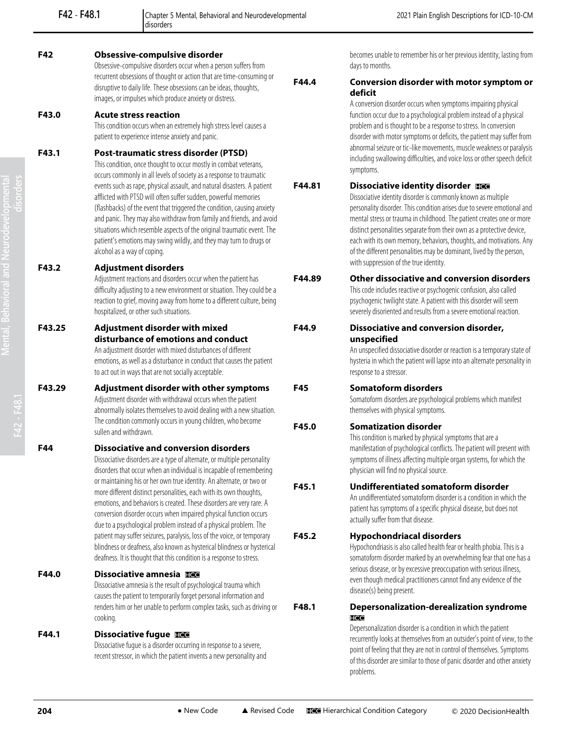#### **F42 Obsessive-compulsive disorder** becomes unable to remember his or her previous identity, lasting from Obsessive-compulsive disorders occur when a person suffers from days to months. recurrent obsessions of thought or action that are time-consuming or **F44.4 Conversion disorder with motor symptom or** disruptive to daily life. These obsessions can be ideas, thoughts, **deficit** images, or impulses which produce anxiety or distress. A conversion disorder occurs when symptoms impairing physical **F43.0 Acute stress reaction** function occur due to a psychological problem instead of a physical problem and is thought to be a response to stress. In conversion This condition occurs when an extremely high stress level causes a patient to experience intense anxiety and panic. disorder with motor symptoms or deficits, the patient may suffer from abnormal seizure or tic-like movements, muscle weakness or paralysis **F43.1 Post-traumatic stress disorder (PTSD)** including swallowing difficulties, and voice loss or other speech deficit This condition, once thought to occur mostly in combat veterans, symptoms. occurs commonly in all levels of society as a response to traumatic **disorders**events such as rape, physical assault, and natural disasters. A patient **F44.81 Dissociative identity disorder** afflicted with PTSD will often suffer sudden, powerful memories Dissociative identity disorder is commonly known as multiple (flashbacks) of the event that triggered the condition, causing anxiety personality disorder. This condition arises due to severe emotional and and panic. They may also withdraw from family and friends, and avoid mental stress or trauma in childhood. The patient creates one or more situations which resemble aspects of the original traumatic event. The distinct personalities separate from their own as a protective device, patient's emotions may swing wildly, and they may turn to drugs or each with its own memory, behaviors, thoughts, and motivations. Any alcohol as a way of coping. of the different personalities may be dominant, lived by the person, with suppression of the true identity. **F43.2 Adjustment disorders** Adjustment reactions and disorders occur when the patient has **F44.89 Other dissociative and conversion disorders** difficulty adjusting to a new environment or situation. They could be a This code includes reactive or psychogenic confusion, also called reaction to grief, moving away from home to a different culture, being psychogenic twilight state. A patient with this disorder will seem hospitalized, or other such situations. severely disoriented and results from a severe emotional reaction. **F43.25 Adjustment disorder with mixed F44.9 Dissociative and conversion disorder, disturbance of emotions and conduct unspecified** An adjustment disorder with mixed disturbances of different An unspecified dissociative disorder or reaction is a temporary state of emotions, as well as a disturbance in conduct that causes the patient hysteria in which the patient will lapse into an alternate personality in to act out in ways that are not socially acceptable. response to a stressor. **F43.29 Adjustment disorder with other symptoms F45 Somatoform disorders** Adjustment disorder with withdrawal occurs when the patient Somatoform disorders are psychological problems which manifest **F42 - F48.1** abnormally isolates themselves to avoid dealing with a new situation. themselves with physical symptoms. The condition commonly occurs in young children, who become **F45.0 Somatization disorder** sullen and withdrawn. This condition is marked by physical symptoms that are a **F44 Dissociative and conversion disorders** manifestation of psychological conflicts. The patient will present with Dissociative disorders are a type of alternate, or multiple personality symptoms of illness affecting multiple organ systems, for which the disorders that occur when an individual is incapable of remembering physician will find no physical source. or maintaining his or her own true identity. An alternate, or two or **F45.1 Undifferentiated somatoform disorder** more different distinct personalities, each with its own thoughts, An undifferentiated somatoform disorder is a condition in which the emotions, and behaviors is created. These disorders are very rare. A patient has symptoms of a specific physical disease, but does not conversion disorder occurs when impaired physical function occurs actually suffer from that disease. due to a psychological problem instead of a physical problem. The patient may suffer seizures, paralysis, loss of the voice, or temporary **F45.2 Hypochondriacal disorders** blindness or deafness, also known as hysterical blindness or hysterical Hypochondriasis is also called health fear or health phobia. This is a deafness. It is thought that this condition is a response to stress. somatoform disorder marked by an overwhelming fear that one has a serious disease, or by excessive preoccupation with serious illness, **F44.0 Dissociative amnesia** even though medical practitioners cannot find any evidence of the Dissociative amnesia is the result of psychological trauma which disease(s) being present. causes the patient to temporarily forget personal information and renders him or her unable to perform complex tasks, such as driving or **F48.1 Depersonalization-derealization syndrome** cooking. **HCC** Depersonalization disorder is a condition in which the patient **F44.1 Dissociative fugue**

Dissociative fugue is a disorder occurring in response to a severe, recent stressor, in which the patient invents a new personality and recurrently looks at themselves from an outsider's point of view, to the point of feeling that they are not in control of themselves. Symptoms of this disorder are similar to those of panic disorder and other anxiety problems.

**Mental, Behavioral and Neurodevelopmental**